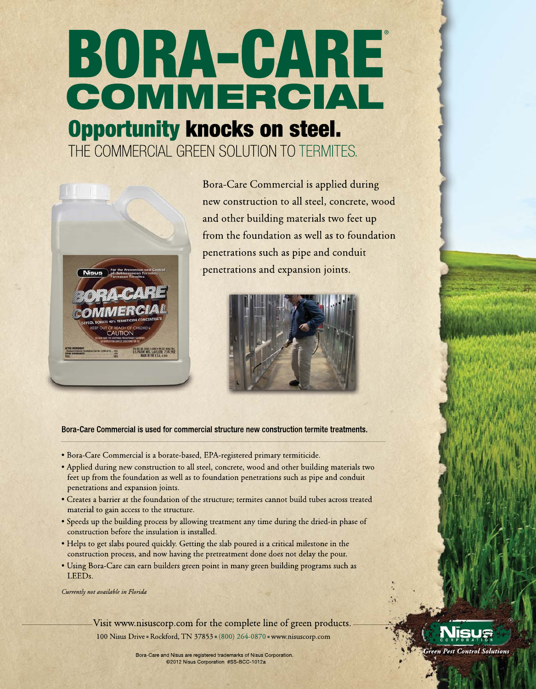# BORA-CARE COMMERCIAL **Opportunity knocks on steel.**

THE COMMERCIAL GREEN SOLUTION TO TERMITES.



Bora-Care Commercial is applied during new construction to all steel, concrete, wood and other building materials two feet up from the foundation as well as to foundation penetrations such as pipe and conduit penetrations and expansion joints.



Bora-Care Commercial is used for commercial structure new construction termite treatments.

- · Bora-Care Commercial is a borate-based, EPA-registered primary termiticide.
- Applied during new construction to all steel, concrete, wood and other building materials two feet up from the foundation as well as to foundation penetrations such as pipe and conduit penetrations and expansion joints.
- Creates a barrier at the foundation of the structure; termites cannot build tubes across treated material to gain access to the structure.
- Speeds up the building process by allowing treatment any time during the dried-in phase of construction before the insulation is installed.
- Helps to get slabs poured quickly. Getting the slab poured is a critical milestone in the construction process, and now having the pretreatment done does not delay the pour.
- Using Bora-Care can earn builders green point in many green building programs such as LEEDs.

Currently not available in Florida

Visit www.nisuscorp.com for the complete line of green products. 100 Nisus Drive - Rockford, TN 37853 - (800) 264-0870 - www.nisuscorp.com

**Pest Control Solutions** 

Bora-Care and Nisus are registered trademarks of Nisus Corporation. ©2012 Nisus Corporation #SS-BCC-1012a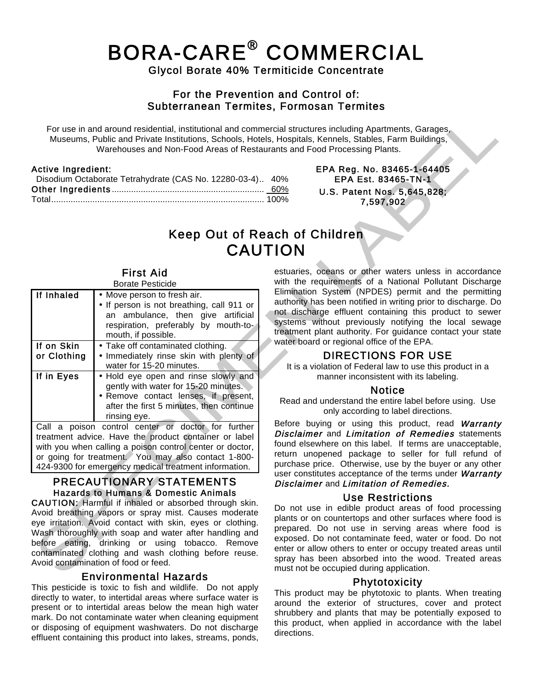## BORA-CARE® COMMERCIAL Glycol Borate 40% Termiticide Concentrate

#### For the Prevention and Control of: Subterranean Termites, Formosan Termites

 For use in and around residential, institutional and commercial structures including Apartments, Garages, Museums, Public and Private Institutions, Schools, Hotels, Hospitals, Kennels, Stables, Farm Buildings, Warehouses and Non-Food Areas of Restaurants and Food Processing Plants.

| <b>Active Ingredient:</b>                                 |  |
|-----------------------------------------------------------|--|
| Disodium Octaborate Tetrahydrate (CAS No. 12280-03-4) 40% |  |
|                                                           |  |
|                                                           |  |

EPA Reg. No. 83465-1-64405 EPA Est. 83465-TN-1 U.S. Patent Nos. 5,645,828; 7,597,902

### Keep Out of Reach of Children CAUTION

#### First Aid Borate Pesticide

| DUIAIC F COIILIUC |                                                                                                                                                                                  |  |
|-------------------|----------------------------------------------------------------------------------------------------------------------------------------------------------------------------------|--|
| If Inhaled        | • Move person to fresh air.<br>• If person is not breathing, call 911 or<br>an ambulance, then give artificial<br>respiration, preferably by mouth-to-<br>mouth, if possible.    |  |
| If on Skin        | • Take off contaminated clothing.                                                                                                                                                |  |
| or Clothing       | • Immediately rinse skin with plenty of                                                                                                                                          |  |
|                   | water for 15-20 minutes.                                                                                                                                                         |  |
| If in Eyes        | . Hold eye open and rinse slowly and<br>gently with water for 15-20 minutes.<br>• Remove contact lenses, if present,<br>after the first 5 minutes, then continue<br>rinsing eye. |  |
|                   | Call a poison control center or doctor for further<br>treatment advice. Have the product container or label<br>with you when calling a poison control center or doctor           |  |

with you when calling a poison control center or doctor, or going for treatment. You may also contact 1-800- 424-9300 for emergency medical treatment information.

#### PRECAUTIONARY STATEMENTS Hazards to Humans & Domestic Animals

CAUTION: Harmful if inhaled or absorbed through skin. Avoid breathing vapors or spray mist. Causes moderate eye irritation. Avoid contact with skin, eyes or clothing. Wash thoroughly with soap and water after handling and before eating, drinking or using tobacco. Remove contaminated clothing and wash clothing before reuse. Avoid contamination of food or feed.

**Environmental Hazards**<br>This pesticide is toxic to fish and wildlife. Do not apply directly to water, to intertidal areas where surface water is present or to intertidal areas below the mean high water mark. Do not contaminate water when cleaning equipment or disposing of equipment washwaters. Do not discharge effluent containing this product into lakes, streams, ponds,

estuaries, oceans or other waters unless in accordance with the requirements of a National Pollutant Discharge Elimination System (NPDES) permit and the permitting authority has been notified in writing prior to discharge. Do not discharge effluent containing this product to sewer systems without previously notifying the local sewage treatment plant authority. For guidance contact your state water board or regional office of the EPA.

### DIRECTIONS FOR USE

It is a violation of Federal law to use this product in a manner inconsistent with its labeling.

#### **Notice**

Read and understand the entire label before using. Use only according to label directions.

Before buying or using this product, read Warranty **Disclaimer** and *Limitation of Remedies* statements found elsewhere on this label. If terms are unacceptable, return unopened package to seller for full refund of purchase price. Otherwise, use by the buyer or any other user constitutes acceptance of the terms under Warranty Disclaimer and Limitation of Remedies.

#### Use Restrictions

Do not use in edible product areas of food processing plants or on countertops and other surfaces where food is prepared. Do not use in serving areas where food is exposed. Do not contaminate feed, water or food. Do not enter or allow others to enter or occupy treated areas until spray has been absorbed into the wood. Treated areas must not be occupied during application.

#### Phytotoxicity

This product may be phytotoxic to plants. When treating around the exterior of structures, cover and protect shrubbery and plants that may be potentially exposed to this product, when applied in accordance with the label directions.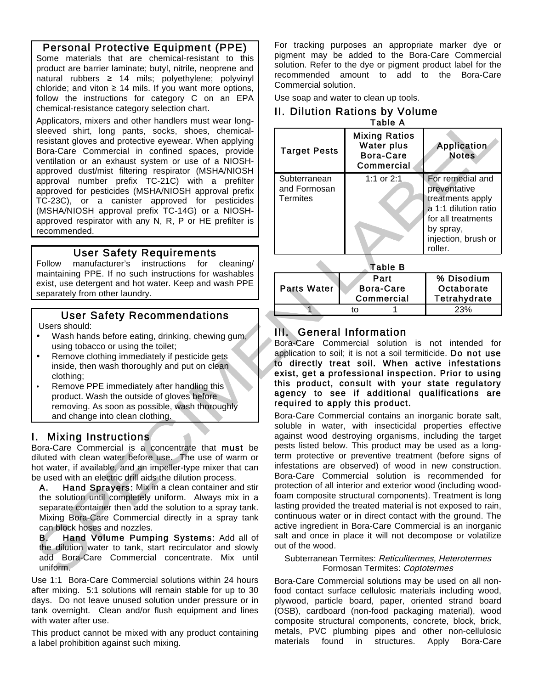## Personal Protective Equipment (PPE) Some materials that are chemical-resistant to this

product are barrier laminate; butyl, nitrile, neoprene and natural rubbers  $\geq 14$  mils; polyethylene; polyvinyl chloride; and viton  $\geq 14$  mils. If you want more options, follow the instructions for category C on an EPA chemical-resistance category selection chart.

Applicators, mixers and other handlers must wear longsleeved shirt, long pants, socks, shoes, chemicalresistant gloves and protective eyewear. When applying Bora-Care Commercial in confined spaces, provide ventilation or an exhaust system or use of a NIOSHapproved dust/mist filtering respirator (MSHA/NIOSH approval number prefix TC-21C) with a prefilter approved for pesticides (MSHA/NIOSH approval prefix TC-23C), or a canister approved for pesticides (MSHA/NIOSH approval prefix TC-14G) or a NIOSHapproved respirator with any N, R, P or HE prefilter is recommended.

#### User Safety Requirements

Follow manufacturer's instructions for cleaning/ maintaining PPE. If no such instructions for washables exist, use detergent and hot water. Keep and wash PPE separately from other laundry.

#### User Safety Recommendations

Users should:

- Wash hands before eating, drinking, chewing gum, using tobacco or using the toilet;
- Remove clothing immediately if pesticide gets inside, then wash thoroughly and put on clean clothing;
- Remove PPE immediately after handling this product. Wash the outside of gloves before removing. As soon as possible, wash thoroughly and change into clean clothing.

#### I. Mixing Instructions

Bora-Care Commercial is a concentrate that must be diluted with clean water before use. The use of warm or hot water, if available, and an impeller-type mixer that can be used with an electric drill aids the dilution process.

A. Hand Sprayers: Mix in a clean container and stir the solution until completely uniform. Always mix in a separate container then add the solution to a spray tank. Mixing Bora-Care Commercial directly in a spray tank can block hoses and nozzles.

B. Hand Volume Pumping Systems: Add all of the dilution water to tank, start recirculator and slowly add Bora-Care Commercial concentrate. Mix until uniform.

Use 1:1 Bora-Care Commercial solutions within 24 hours after mixing. 5:1 solutions will remain stable for up to 30 days. Do not leave unused solution under pressure or in tank overnight. Clean and/or flush equipment and lines with water after use.

This product cannot be mixed with any product containing a label prohibition against such mixing.

For tracking purposes an appropriate marker dye or pigment may be added to the Bora-Care Commercial solution. Refer to the dye or pigment product label for the recommended amount to add to the Bora-Care Commercial solution.

Use soap and water to clean up tools.

#### II. Dilution Rations by Volume Table A

| .  .                                            |                                                                             |                                                                                                                                                   |  |
|-------------------------------------------------|-----------------------------------------------------------------------------|---------------------------------------------------------------------------------------------------------------------------------------------------|--|
| <b>Target Pests</b>                             | <b>Mixing Ratios</b><br><b>Water plus</b><br><b>Bora-Care</b><br>Commercial | Application<br><b>Notes</b>                                                                                                                       |  |
| Subterranean<br>and Formosan<br><b>Termites</b> | 1:1 or $2:1$                                                                | For remedial and<br>preventative<br>treatments apply<br>a 1:1 dilution ratio<br>for all treatments<br>by spray,<br>injection, brush or<br>roller. |  |

Table B

| .           |                         |      |              |  |
|-------------|-------------------------|------|--------------|--|
|             |                         | Part | % Disodium   |  |
| Parts Water | Bora-Care<br>Commercial |      | Octaborate   |  |
|             |                         |      | Tetrahydrate |  |
|             |                         |      | 23%          |  |
|             |                         |      |              |  |

### III. General Information

Bora-Care Commercial solution is not intended for application to soil; it is not a soil termiticide. Do not use to directly treat soil. When active infestations exist, get a professional inspection. Prior to using this product, consult with your state regulatory agency to see if additional qualifications are required to apply this product.

Bora-Care Commercial contains an inorganic borate salt, soluble in water, with insecticidal properties effective against wood destroying organisms, including the target pests listed below. This product may be used as a longterm protective or preventive treatment (before signs of infestations are observed) of wood in new construction. Bora-Care Commercial solution is recommended for protection of all interior and exterior wood (including woodfoam composite structural components). Treatment is long lasting provided the treated material is not exposed to rain, continuous water or in direct contact with the ground. The active ingredient in Bora-Care Commercial is an inorganic salt and once in place it will not decompose or volatilize out of the wood.

#### Subterranean Termites: Reticulitermes, Heterotermes Formosan Termites: Coptotermes

Bora-Care Commercial solutions may be used on all nonfood contact surface cellulosic materials including wood, plywood, particle board, paper, oriented strand board (OSB), cardboard (non-food packaging material), wood composite structural components, concrete, block, brick, metals, PVC plumbing pipes and other non-cellulosic materials found in structures. Apply Bora-Care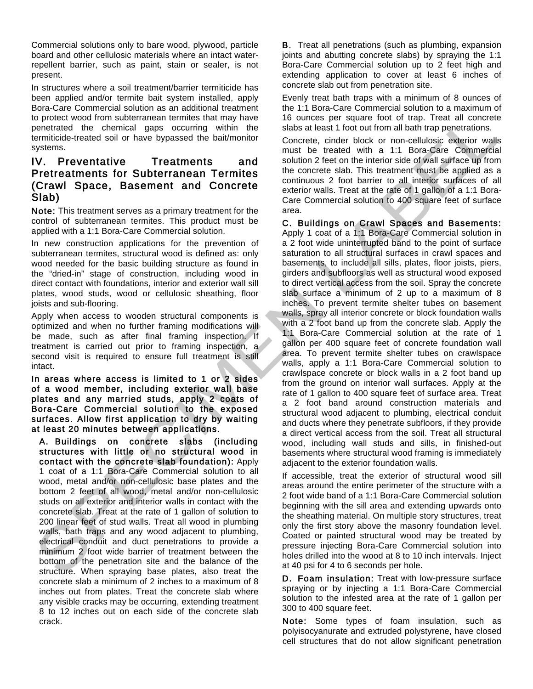Commercial solutions only to bare wood, plywood, particle board and other cellulosic materials where an intact waterrepellent barrier, such as paint, stain or sealer, is not present.

In structures where a soil treatment/barrier termiticide has been applied and/or termite bait system installed, apply Bora-Care Commercial solution as an additional treatment to protect wood from subterranean termites that may have penetrated the chemical gaps occurring within the termiticide-treated soil or have bypassed the bait/monitor systems.

#### IV. Preventative Treatments and Pretreatments for Subterranean Termites (Crawl Space, Basement and Concrete Slab)

Note: This treatment serves as a primary treatment for the control of subterranean termites. This product must be applied with a 1:1 Bora-Care Commercial solution.

In new construction applications for the prevention of subterranean termites, structural wood is defined as: only wood needed for the basic building structure as found in the "dried-in" stage of construction, including wood in direct contact with foundations, interior and exterior wall sill plates, wood studs, wood or cellulosic sheathing, floor joists and sub-flooring.

Apply when access to wooden structural components is optimized and when no further framing modifications will be made, such as after final framing inspection. If treatment is carried out prior to framing inspection, a second visit is required to ensure full treatment is still intact.

In areas where access is limited to 1 or 2 sides of a wood member, including exterior wall base plates and any married studs, apply 2 coats of Bora-Care Commercial solution to the exposed surfaces. Allow first application to dry by waiting at least 20 minutes between applications.

A. Buildings on concrete slabs (including structures with little or no structural wood in contact with the concrete slab foundation): Apply 1 coat of a 1:1 Bora-Care Commercial solution to all wood, metal and/or non-cellulosic base plates and the bottom 2 feet of all wood, metal and/or non-cellulosic studs on all exterior and interior walls in contact with the concrete slab. Treat at the rate of 1 gallon of solution to 200 linear feet of stud walls. Treat all wood in plumbing walls, bath traps and any wood adjacent to plumbing, electrical conduit and duct penetrations to provide a minimum 2 foot wide barrier of treatment between the bottom of the penetration site and the balance of the structure. When spraying base plates, also treat the concrete slab a minimum of 2 inches to a maximum of 8 inches out from plates. Treat the concrete slab where any visible cracks may be occurring, extending treatment 8 to 12 inches out on each side of the concrete slab crack.

B. Treat all penetrations (such as plumbing, expansion joints and abutting concrete slabs) by spraying the 1:1 Bora-Care Commercial solution up to 2 feet high and extending application to cover at least 6 inches of concrete slab out from penetration site.

Evenly treat bath traps with a minimum of 8 ounces of the 1:1 Bora-Care Commercial solution to a maximum of 16 ounces per square foot of trap. Treat all concrete slabs at least 1 foot out from all bath trap penetrations.

Concrete, cinder block or non-cellulosic exterior walls must be treated with a 1:1 Bora-Care Commercial solution 2 feet on the interior side of wall surface up from the concrete slab. This treatment must be applied as a continuous 2 foot barrier to all interior surfaces of all exterior walls. Treat at the rate of 1 gallon of a 1:1 Bora-Care Commercial solution to 400 square feet of surface area.

C. Buildings on Crawl Spaces and Basements: Apply 1 coat of a 1:1 Bora-Care Commercial solution in a 2 foot wide uninterrupted band to the point of surface saturation to all structural surfaces in crawl spaces and basements, to include all sills, plates, floor joists, piers, girders and subfloors as well as structural wood exposed to direct vertical access from the soil. Spray the concrete slab surface a minimum of 2 up to a maximum of 8 inches. To prevent termite shelter tubes on basement walls, spray all interior concrete or block foundation walls with a 2 foot band up from the concrete slab. Apply the 1:1 Bora-Care Commercial solution at the rate of 1 gallon per 400 square feet of concrete foundation wall area. To prevent termite shelter tubes on crawlspace walls, apply a 1:1 Bora-Care Commercial solution to crawlspace concrete or block walls in a 2 foot band up from the ground on interior wall surfaces. Apply at the rate of 1 gallon to 400 square feet of surface area. Treat a 2 foot band around construction materials and structural wood adjacent to plumbing, electrical conduit and ducts where they penetrate subfloors, if they provide a direct vertical access from the soil. Treat all structural wood, including wall studs and sills, in finished-out basements where structural wood framing is immediately adjacent to the exterior foundation walls.

If accessible, treat the exterior of structural wood sill areas around the entire perimeter of the structure with a 2 foot wide band of a 1:1 Bora-Care Commercial solution beginning with the sill area and extending upwards onto the sheathing material. On multiple story structures, treat only the first story above the masonry foundation level. Coated or painted structural wood may be treated by pressure injecting Bora-Care Commercial solution into holes drilled into the wood at 8 to 10 inch intervals. Inject at 40 psi for 4 to 6 seconds per hole.

D. Foam insulation: Treat with low-pressure surface spraying or by injecting a 1:1 Bora-Care Commercial solution to the infested area at the rate of 1 gallon per 300 to 400 square feet.

Note: Some types of foam insulation, such as polyisocyanurate and extruded polystyrene, have closed cell structures that do not allow significant penetration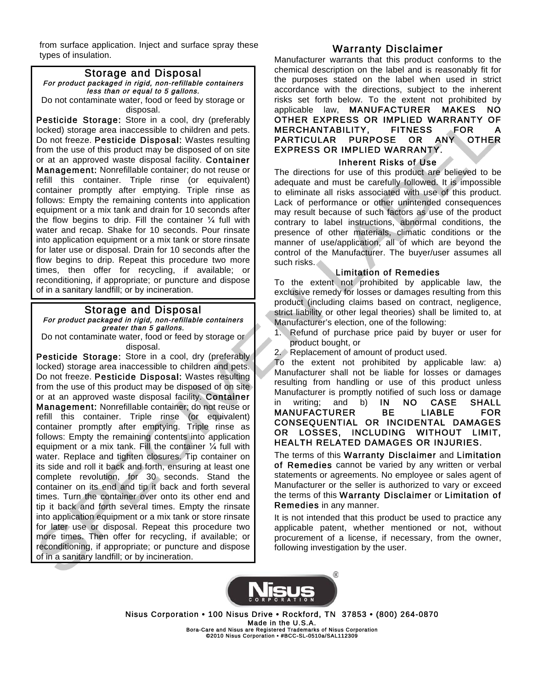from surface application. Inject and surface spray these types of insulation.

#### Storage and Disposal For product packaged in rigid, non-refillable containers less than or equal to 5 gallons. Do not contaminate water, food or feed by storage or disposal.

Pesticide Storage: Store in a cool, dry (preferably locked) storage area inaccessible to children and pets. Do not freeze. Pesticide Disposal: Wastes resulting from the use of this product may be disposed of on site or at an approved waste disposal facility. Container Management: Nonrefillable container; do not reuse or refill this container. Triple rinse (or equivalent) container promptly after emptying. Triple rinse as follows: Empty the remaining contents into application equipment or a mix tank and drain for 10 seconds after the flow begins to drip. Fill the container  $\frac{1}{4}$  full with water and recap. Shake for 10 seconds. Pour rinsate into application equipment or a mix tank or store rinsate for later use or disposal. Drain for 10 seconds after the flow begins to drip. Repeat this procedure two more times, then offer for recycling, if available; or reconditioning, if appropriate; or puncture and dispose of in a sanitary landfill; or by incineration.

#### Storage and Disposal For product packaged in rigid, non-refillable containers greater than 5 gallons.

Do not contaminate water, food or feed by storage or disposal.

Pesticide Storage: Store in a cool, dry (preferably locked) storage area inaccessible to children and pets. Do not freeze. Pesticide Disposal: Wastes resulting from the use of this product may be disposed of on site or at an approved waste disposal facility. Container Management: Nonrefillable container; do not reuse or refill this container. Triple rinse (or equivalent) container promptly after emptying. Triple rinse as follows: Empty the remaining contents into application equipment or a mix tank. Fill the container  $\frac{1}{4}$  full with water. Replace and tighten closures. Tip container on its side and roll it back and forth, ensuring at least one complete revolution, for 30 seconds. Stand the container on its end and tip it back and forth several times. Turn the container over onto its other end and tip it back and forth several times. Empty the rinsate into application equipment or a mix tank or store rinsate for later use or disposal. Repeat this procedure two more times. Then offer for recycling, if available; or reconditioning, if appropriate; or puncture and dispose of in a sanitary landfill; or by incineration.

#### Warranty Disclaimer

Manufacturer warrants that this product conforms to the chemical description on the label and is reasonably fit for the purposes stated on the label when used in strict accordance with the directions, subject to the inherent risks set forth below. To the extent not prohibited by applicable law, MANUFACTURER MAKES NO OTHER EXPRESS OR IMPLIED WARRANTY OF MERCHANTABILITY, FITNESS FOR A PARTICULAR PURPOSE OR ANY OTHER EXPRESS OR IMPLIED WARRANTY.

#### Inherent Risks of Use

The directions for use of this product are believed to be adequate and must be carefully followed. It is impossible to eliminate all risks associated with use of this product. Lack of performance or other unintended consequences may result because of such factors as use of the product contrary to label instructions, abnormal conditions, the presence of other materials, climatic conditions or the manner of use/application, all of which are beyond the control of the Manufacturer. The buyer/user assumes all such risks.

#### Limitation of Remedies

To the extent not prohibited by applicable law, the exclusive remedy for losses or damages resulting from this product (including claims based on contract, negligence, strict liability or other legal theories) shall be limited to, at Manufacturer's election, one of the following:

- 1. Refund of purchase price paid by buyer or user for product bought, or
- 2. Replacement of amount of product used.

To the extent not prohibited by applicable law: a) Manufacturer shall not be liable for losses or damages resulting from handling or use of this product unless Manufacturer is promptly notified of such loss or damage in writing; and b) IN NO CASE SHALL MANUFACTURER BE LIABLE FOR CONSEQUENTIAL OR INCIDENTAL DAMAGES OR LOSSES, INCLUDING WITHOUT LIMIT, HEALTH RELATED DAMAGES OR INJURIES.

The terms of this Warranty Disclaimer and Limitation of Remedies cannot be varied by any written or verbal statements or agreements. No employee or sales agent of Manufacturer or the seller is authorized to vary or exceed the terms of this Warranty Disclaimer or Limitation of Remedies in any manner.

It is not intended that this product be used to practice any applicable patent, whether mentioned or not, without procurement of a license, if necessary, from the owner, following investigation by the user.



Nisus Corporation • 100 Nisus Drive • Rockford, TN 37853 • (800) 264-0870 Made in the U.S.A.<br>Bora-Care and Nisus are Registered Trademarks of Nisus Corporation<br>©2010 Nisus Corporation • #BCC-SL-0510a/SAL112309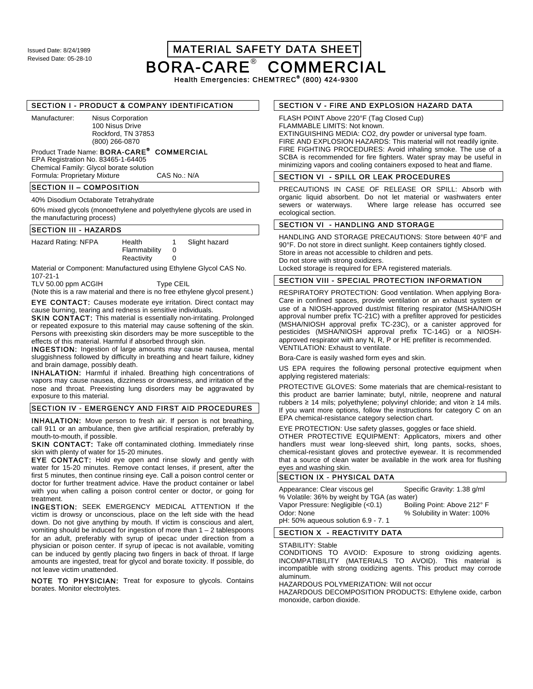Issued Date: 8/24/1989 MATERIAL SAFETY DATA SHEET BORA-CARE® COMMERCIAL

Health Emergencies: CHEMTREC<sup>®</sup> (800) 424-9300

#### SECTION I - PRODUCT & COMPANY IDENTIFICATION

Manufacturer: Nisus Corporation 100 Nisus Drive Rockford, TN 37853 (800) 266-0870

#### Product Trade Name: BORA-CARE<sup>®</sup> COMMERCIAL

EPA Registration No. 83465-1-64405 Chemical Family: Glycol borate solution Formula: Proprietary Mixture

#### SECTION II – COMPOSITION

40% Disodium Octaborate Tetrahydrate

60% mixed glycols (monoethylene and polyethylene glycols are used in the manufacturing process)

#### SECTION III - HAZARDS

| Hazard Rating: NFPA | Health       | Slight hazard |
|---------------------|--------------|---------------|
|                     | Flammability |               |
|                     | Reactivity   |               |

Material or Component: Manufactured using Ethylene Glycol CAS No. 107-21-1

TLV 50.00 ppm ACGIH Type CEIL

(Note this is a raw material and there is no free ethylene glycol present.)

EYE CONTACT: Causes moderate eye irritation. Direct contact may cause burning, tearing and redness in sensitive individuals.

SKIN CONTACT: This material is essentially non-irritating. Prolonged or repeated exposure to this material may cause softening of the skin. Persons with preexisting skin disorders may be more susceptible to the effects of this material. Harmful if absorbed through skin.

INGESTION: Ingestion of large amounts may cause nausea, mental sluggishness followed by difficulty in breathing and heart failure, kidney and brain damage, possibly death.

INHALATION: Harmful if inhaled. Breathing high concentrations of vapors may cause nausea, dizziness or drowsiness, and irritation of the nose and throat. Preexisting lung disorders may be aggravated by exposure to this material.

#### SECTION IV - EMERGENCY AND FIRST AID PROCEDURES

INHALATION: Move person to fresh air. If person is not breathing, call 911 or an ambulance, then give artificial respiration, preferably by mouth-to-mouth, if possible.

SKIN CONTACT: Take off contaminated clothing. Immediately rinse skin with plenty of water for 15-20 minutes.

EYE CONTACT: Hold eye open and rinse slowly and gently with water for 15-20 minutes. Remove contact lenses, if present, after the first 5 minutes, then continue rinsing eye. Call a poison control center or doctor for further treatment advice. Have the product container or label with you when calling a poison control center or doctor, or going for treatment.

INGESTION: SEEK EMERGENCY MEDICAL ATTENTION If the victim is drowsy or unconscious, place on the left side with the head down. Do not give anything by mouth. If victim is conscious and alert, vomiting should be induced for ingestion of more than 1 – 2 tablespoons for an adult, preferably with syrup of ipecac under direction from a physician or poison center. If syrup of ipecac is not available, vomiting can be induced by gently placing two fingers in back of throat. If large amounts are ingested, treat for glycol and borate toxicity. If possible, do not leave victim unattended.

NOTE TO PHYSICIAN: Treat for exposure to glycols. Contains borates. Monitor electrolytes.

#### SECTION V - FIRE AND EXPLOSION HAZARD DATA

FLASH POINT Above 220°F (Tag Closed Cup) FLAMMABLE LIMITS: Not known. EXTINGUISHING MEDIA: CO2, dry powder or universal type foam. FIRE AND EXPLOSION HAZARDS: This material will not readily ignite. FIRE FIGHTING PROCEDURES: Avoid inhaling smoke. The use of a SCBA is recommended for fire fighters. Water spray may be useful in minimizing vapors and cooling containers exposed to heat and flame.

#### SECTION VI - SPILL OR LEAK PROCEDURES

PRECAUTIONS IN CASE OF RELEASE OR SPILL: Absorb with organic liquid absorbent. Do not let material or washwaters enter sewers or waterways. Where large release has occurred see ecological section.

#### SECTION VI - HANDLING AND STORAGE

HANDLING AND STORAGE PRECAUTIONS: Store between 40°F and 90°F. Do not store in direct sunlight. Keep containers tightly closed. Store in areas not accessible to children and pets. Do not store with strong oxidizers. Locked storage is required for EPA registered materials.

#### SECTION VIII - SPECIAL PROTECTION INFORMATION

RESPIRATORY PROTECTION: Good ventilation. When applying Bora-Care in confined spaces, provide ventilation or an exhaust system or use of a NIOSH-approved dust/mist filtering respirator (MSHA/NIOSH approval number prefix TC-21C) with a prefilter approved for pesticides (MSHA/NIOSH approval prefix TC-23C), or a canister approved for pesticides (MSHA/NIOSH approval prefix TC-14G) or a NIOSHapproved respirator with any N, R, P or HE prefilter is recommended. VENTILATION: Exhaust to ventilate.

Bora-Care is easily washed form eyes and skin.

US EPA requires the following personal protective equipment when applying registered materials:

PROTECTIVE GLOVES: Some materials that are chemical-resistant to this product are barrier laminate; butyl, nitrile, neoprene and natural rubbers  $\geq 14$  mils; polyethylene; polyvinyl chloride; and viton  $\geq 14$  mils. If you want more options, follow the instructions for category C on an EPA chemical-resistance category selection chart.

EYE PROTECTION: Use safety glasses, goggles or face shield.

OTHER PROTECTIVE EQUIPMENT: Applicators, mixers and other handlers must wear long-sleeved shirt, long pants, socks, shoes, chemical-resistant gloves and protective eyewear. It is recommended that a source of clean water be available in the work area for flushing eyes and washing skin.

#### SECTION IX - PHYSICAL DATA

| Appearance: Clear viscous gel               | Specific Gravity: 1.38 g/ml |
|---------------------------------------------|-----------------------------|
| % Volatile: 36% by weight by TGA (as water) |                             |
| Vapor Pressure: Negligible (<0.1)           | Boiling Point: Above 212° F |
| Odor: None                                  | % Solubility in Water: 100% |
| pH: 50% aqueous solution 6.9 - 7. 1         |                             |

#### SECTION X - REACTIVITY DATA

STABILITY: Stable

CONDITIONS TO AVOID: Exposure to strong oxidizing agents. INCOMPATIBILITY (MATERIALS TO AVOID). This material is incompatible with strong oxidizing agents. This product may corrode aluminum.

HAZARDOUS POLYMERIZATION: Will not occur

HAZARDOUS DECOMPOSITION PRODUCTS: Ethylene oxide, carbon monoxide, carbon dioxide.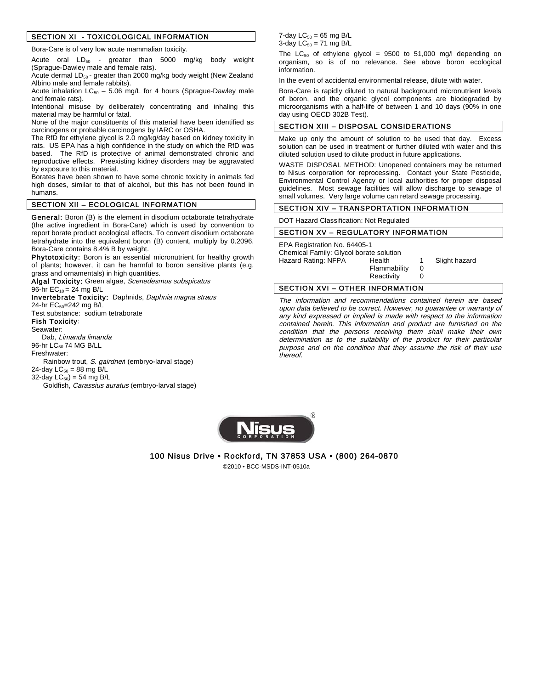#### SECTION XI - TOXICOLOGICAL INFORMATION

Bora-Care is of very low acute mammalian toxicity.

Acute oral  $LD_{50}$  - greater than 5000 mg/kg body weight (Sprague-Dawley male and female rats).

Acute dermal  $LD_{50}$  - greater than 2000 mg/kg body weight (New Zealand Albino male and female rabbits).

Acute inhalation  $LC_{50}$  – 5.06 mg/L for 4 hours (Sprague-Dawley male and female rats).

Intentional misuse by deliberately concentrating and inhaling this material may be harmful or fatal.

None of the major constituents of this material have been identified as carcinogens or probable carcinogens by IARC or OSHA.

The RfD for ethylene glycol is 2.0 mg/kg/day based on kidney toxicity in rats. US EPA has a high confidence in the study on which the RfD was based. The RfD is protective of animal demonstrated chronic and reproductive effects. Preexisting kidney disorders may be aggravated by exposure to this material.

Borates have been shown to have some chronic toxicity in animals fed high doses, similar to that of alcohol, but this has not been found in humans.

#### SECTION XII – ECOLOGICAL INFORMATION

General: Boron (B) is the element in disodium octaborate tetrahydrate (the active ingredient in Bora-Care) which is used by convention to report borate product ecological effects. To convert disodium octaborate tetrahydrate into the equivalent boron (B) content, multiply by 0.2096. Bora-Care contains 8.4% B by weight.

Phytotoxicity: Boron is an essential micronutrient for healthy growth of plants; however, it can he harmful to boron sensitive plants (e.g. grass and ornamentals) in high quantities.

Algal Toxicity: Green algae, Scenedesmus subspicatus

#### 96-hr  $EC_{10} = 24$  mg B/L

Invertebrate Toxicity: Daphnids, Daphnia magna straus 24-hr EC<sub>50</sub>=242 mg B/L

Test substance: sodium tetraborate

#### Fish Toxicity: Seawater:

 Dab, Limanda limanda 96-hr LC<sub>50</sub> 74 MG B/LL

Freshwater:

Rainbow trout, S. gairdnen (embryo-larval stage) 24-day  $LC_{50} = 88$  mg B/L

32-day  $LC_{50}$ ) = 54 mg B/L

Goldfish, Carassius auratus (embryo-larval stage)

7-day  $LC_{50} = 65$  mg B/L 3-day  $LC_{50} = 71$  mg B/L

The  $LC_{50}$  of ethylene glycol = 9500 to 51,000 mg/l depending on organism, so is of no relevance. See above boron ecological information.

In the event of accidental environmental release, dilute with water.

Bora-Care is rapidly diluted to natural background micronutrient levels of boron, and the organic glycol components are biodegraded by microorganisms with a half-life of between 1 and 10 days (90% in one day using OECD 302B Test).

#### SECTION XIII – DISPOSAL CONSIDERATIONS

Make up only the amount of solution to be used that day. Excess solution can be used in treatment or further diluted with water and this diluted solution used to dilute product in future applications.

WASTE DISPOSAL METHOD: Unopened containers may be returned to Nisus corporation for reprocessing. Contact your State Pesticide, Environmental Control Agency or local authorities for proper disposal guidelines. Most sewage facilities will allow discharge to sewage of small volumes. Very large volume can retard sewage processing.

#### SECTION XIV – TRANSPORTATION INFORMATION

DOT Hazard Classification: Not Regulated

#### SECTION XV – REGULATORY INFORMATION

EPA Registration No. 64405-1 Chemical Family: Glycol borate solution Hazard Rating: NFPA Health 1 Slight hazard Flammability 0<br>Reactivity 0 Reactivity

#### SECTION XVI – OTHER INFORMATION

The information and recommendations contained herein are based upon data believed to be correct. However, no guarantee or warranty of any kind expressed or implied is made with respect to the information contained herein. This information and product are furnished on the condition that the persons receiving them shall make their own determination as to the suitability of the product for their particular purpose and on the condition that they assume the risk of their use thereof.



100 Nisus Drive • Rockford, TN 37853 USA • (800) 264-0870

©2010 • BCC-MSDS-INT-0510a